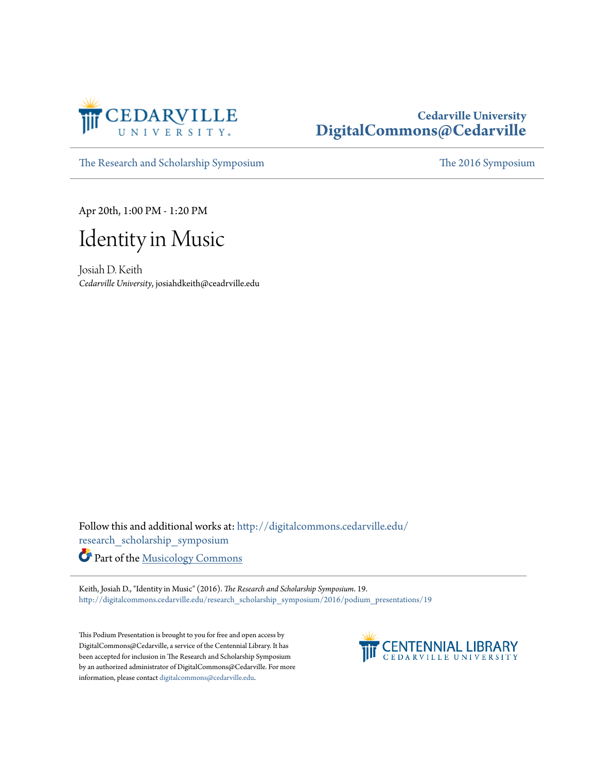

## **Cedarville University [DigitalCommons@Cedarville](http://digitalcommons.cedarville.edu?utm_source=digitalcommons.cedarville.edu%2Fresearch_scholarship_symposium%2F2016%2Fpodium_presentations%2F19&utm_medium=PDF&utm_campaign=PDFCoverPages)**

[The Research and Scholarship Symposium](http://digitalcommons.cedarville.edu/research_scholarship_symposium?utm_source=digitalcommons.cedarville.edu%2Fresearch_scholarship_symposium%2F2016%2Fpodium_presentations%2F19&utm_medium=PDF&utm_campaign=PDFCoverPages) [The 2016 Symposium](http://digitalcommons.cedarville.edu/research_scholarship_symposium/2016?utm_source=digitalcommons.cedarville.edu%2Fresearch_scholarship_symposium%2F2016%2Fpodium_presentations%2F19&utm_medium=PDF&utm_campaign=PDFCoverPages)

Apr 20th, 1:00 PM - 1:20 PM



Josiah D. Keith *Cedarville University*, josiahdkeith@ceadrville.edu

Follow this and additional works at: [http://digitalcommons.cedarville.edu/](http://digitalcommons.cedarville.edu/research_scholarship_symposium?utm_source=digitalcommons.cedarville.edu%2Fresearch_scholarship_symposium%2F2016%2Fpodium_presentations%2F19&utm_medium=PDF&utm_campaign=PDFCoverPages) [research\\_scholarship\\_symposium](http://digitalcommons.cedarville.edu/research_scholarship_symposium?utm_source=digitalcommons.cedarville.edu%2Fresearch_scholarship_symposium%2F2016%2Fpodium_presentations%2F19&utm_medium=PDF&utm_campaign=PDFCoverPages)

Part of the [Musicology Commons](http://network.bepress.com/hgg/discipline/521?utm_source=digitalcommons.cedarville.edu%2Fresearch_scholarship_symposium%2F2016%2Fpodium_presentations%2F19&utm_medium=PDF&utm_campaign=PDFCoverPages)

Keith, Josiah D., "Identity in Music" (2016). *The Research and Scholarship Symposium*. 19. [http://digitalcommons.cedarville.edu/research\\_scholarship\\_symposium/2016/podium\\_presentations/19](http://digitalcommons.cedarville.edu/research_scholarship_symposium/2016/podium_presentations/19?utm_source=digitalcommons.cedarville.edu%2Fresearch_scholarship_symposium%2F2016%2Fpodium_presentations%2F19&utm_medium=PDF&utm_campaign=PDFCoverPages)

This Podium Presentation is brought to you for free and open access by DigitalCommons@Cedarville, a service of the Centennial Library. It has been accepted for inclusion in The Research and Scholarship Symposium by an authorized administrator of DigitalCommons@Cedarville. For more information, please contact [digitalcommons@cedarville.edu.](mailto:digitalcommons@cedarville.edu)